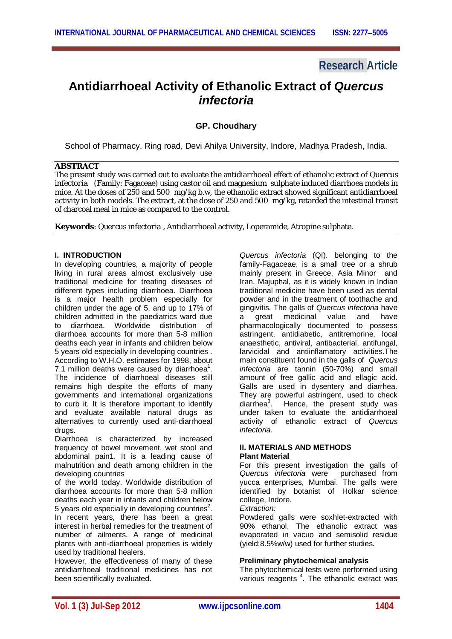# **Research Article**

# **Antidiarrhoeal Activity of Ethanolic Extract of** *Quercus infectoria*

# **GP. Choudhary**

School of Pharmacy, Ring road, Devi Ahilya University, Indore, Madhya Pradesh, India.

#### **ABSTRACT**

The present study was carried out to evaluate the antidiarrhoeal effect of ethanolic extract of *Quercus infectoria* (Family: Fagaceae) using castor oil and magnesium sulphate induced diarrhoea models in mice. At the doses of 250 and 500 mg/kg b.w, the ethanolic extract showed significant antidiarrhoeal activity in both models. The extract, at the dose of 250 and 500 mg/kg, retarded the intestinal transit of charcoal meal in mice as compared to the control.

**Keywords**: *Quercus infectoria* , Antidiarrhoeal activity, Loperamide, Atropine sulphate.

## **I. INTRODUCTION**

In developing countries, a majority of people living in rural areas almost exclusively use traditional medicine for treating diseases of different types including diarrhoea. Diarrhoea is a major health problem especially for children under the age of 5, and up to 17% of children admitted in the paediatrics ward due to diarrhoea. Worldwide distribution of diarrhoea accounts for more than 5-8 million deaths each year in infants and children below 5 years old especially in developing countries .

According to W.H.O. estimates for 1998, about 7.1 million deaths were caused by diarrhoea $1$ . The incidence of diarrhoeal diseases still remains high despite the efforts of many governments and international organizations to curb it. It is therefore important to identify and evaluate available natural drugs as alternatives to currently used anti-diarrhoeal drugs.

Diarrhoea is characterized by increased frequency of bowel movement, wet stool and abdominal pain1. It is a leading cause of malnutrition and death among children in the developing countries

of the world today. Worldwide distribution of diarrhoea accounts for more than 5-8 million deaths each year in infants and children below 5 years old especially in developing countries<sup>2</sup>. In recent years, there has been a great interest in herbal remedies for the treatment of number of ailments. A range of medicinal plants with anti-diarrhoeal properties is widely used by traditional healers.

However, the effectiveness of many of these antidiarrhoeal traditional medicines has not been scientifically evaluated.

*Quercus infectoria* (QI). belonging to the family-Fagaceae, is a small tree or a shrub mainly present in Greece, Asia Minor and Iran. Majuphal, as it is widely known in Indian traditional medicine have been used as dental powder and in the treatment of toothache and gingivitis. The galls of *Quercus infectoria* have a great medicinal value and have pharmacologically documented to possess astringent, antidiabetic, antitremorine, local anaesthetic, antiviral, antibacterial, antifungal, larvicidal and antiinflamatory activities.The main constituent found in the galls of *Quercus infectoria* are tannin (50-70%) and small amount of free gallic acid and ellagic acid. Galls are used in dysentery and diarrhea. They are powerful astringent, used to check diarrhea<sup>3</sup>. Hence, the present study was under taken to evaluate the antidiarrhoeal activity of ethanolic extract of *Quercus infectoria.*

#### **II. MATERIALS AND METHODS Plant Material**

For this present investigation the galls of<br>Quercus infectoria were purchased from **Quercus** infectoria were yucca enterprises, Mumbai. The galls were identified by botanist of Holkar science college, Indore.

*Extraction:*

Powdered galls were soxhlet-extracted with 90% ethanol. The ethanolic extract was evaporated in vacuo and semisolid residue (yield:8.5%w/w) used for further studies.

#### **Preliminary phytochemical analysis**

The phytochemical tests were performed using various reagents<sup>4</sup>. The ethanolic extract was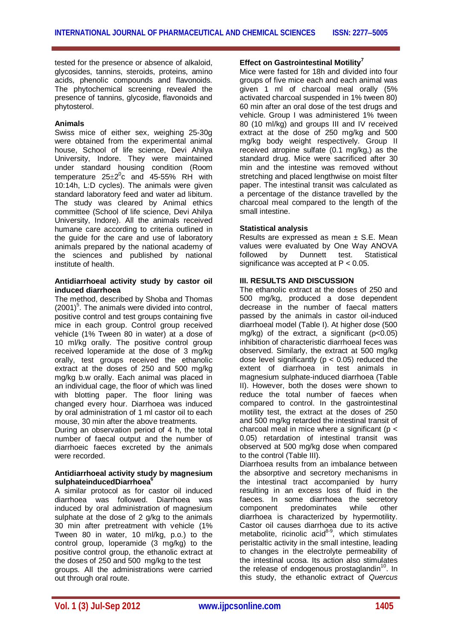tested for the presence or absence of alkaloid, glycosides, tannins, steroids, proteins, amino acids, phenolic compounds and flavonoids. The phytochemical screening revealed the presence of tannins, glycoside, flavonoids and phytosterol.

#### **Animals**

Swiss mice of either sex, weighing 25-30g were obtained from the experimental animal house, School of life science, Devi Ahilya University, Indore. They were maintained under standard housing condition (Room temperature  $25\pm2\textsuperscript{0}$  and 45-55% RH with 10:14h, L:D cycles). The animals were given standard laboratory feed and water ad libitum. The study was cleared by Animal ethics committee (School of life science, Devi Ahilya University, Indore). All the animals received humane care according to criteria outlined in the guide for the care and use of laboratory animals prepared by the national academy of the sciences and published by national institute of health.

#### **Antidiarrhoeal activity study by castor oil induced diarrhoea**

The method, described by Shoba and Thomas  $(2001)^5$ . The animals were divided into control, positive control and test groups containing five mice in each group. Control group received vehicle (1% Tween 80 in water) at a dose of 10 ml/kg orally. The positive control group received loperamide at the dose of 3 mg/kg orally, test groups received the ethanolic extract at the doses of 250 and 500 mg/kg mg/kg b.w orally. Each animal was placed in an individual cage, the floor of which was lined with blotting paper. The floor lining was changed every hour. Diarrhoea was induced by oral administration of 1 ml castor oil to each mouse, 30 min after the above treatments.

During an observation period of 4 h, the total number of faecal output and the number of diarrhoeic faeces excreted by the animals were recorded.

# **Antidiarrhoeal activity study by magnesium sulphateinducedDiarrhoea<sup>6</sup>**

A similar protocol as for castor oil induced diarrhoea was followed. Diarrhoea was induced by oral administration of magnesium sulphate at the dose of 2 g/kg to the animals 30 min after pretreatment with vehicle (1% Tween 80 in water, 10 ml/kg, p.o.) to the control group, loperamide (3 mg/kg) to the positive control group, the ethanolic extract at the doses of 250 and 500 mg/kg to the test groups. All the administrations were carried out through oral route.

# **Effect on Gastrointestinal Motility<sup>7</sup>**

Mice were fasted for 18h and divided into four groups of five mice each and each animal was given 1 ml of charcoal meal orally (5% activated charcoal suspended in 1% tween 80) 60 min after an oral dose of the test drugs and vehicle. Group I was administered 1% tween 80 (10 ml/kg) and groups III and IV received extract at the dose of 250 mg/kg and 500 mg/kg body weight respectively. Group II received atropine sulfate (0.1 mg/kg,) as the standard drug. Mice were sacrificed after 30 min and the intestine was removed without stretching and placed lengthwise on moist filter paper. The intestinal transit was calculated as a percentage of the distance travelled by the charcoal meal compared to the length of the small intestine.

# **Statistical analysis**

Results are expressed as mean  $\pm$  S.E. Mean values were evaluated by One Way ANOVA followed by Dunnett test. Statistical significance was accepted at  $P < 0.05$ .

# **III. RESULTS AND DISCUSSION**

The ethanolic extract at the doses of 250 and 500 mg/kg, produced a dose dependent decrease in the number of faecal matters passed by the animals in castor oil-induced diarrhoeal model (Table I). At higher dose (500 mg/kg) of the extract, a significant  $(p<0.05)$ inhibition of characteristic diarrhoeal feces was observed. Similarly, the extract at 500 mg/kg dose level significantly ( $p < 0.05$ ) reduced the extent of diarrhoea in test animals in magnesium sulphate-induced diarrhoea (Table II). However, both the doses were shown to reduce the total number of faeces when compared to control. In the gastrointestinal motility test, the extract at the doses of 250 and 500 mg/kg retarded the intestinal transit of charcoal meal in mice where a significant ( $p <$ 0.05) retardation of intestinal transit was observed at 500 mg/kg dose when compared to the control (Table III).

Diarrhoea results from an imbalance between the absorptive and secretory mechanisms in the intestinal tract accompanied by hurry resulting in an excess loss of fluid in the faeces. In some diarrhoea the secretory<br>component predominates while other component predominates while diarrhoea is characterized by hypermotility. Castor oil causes diarrhoea due to its active metabolite, ricinolic acid<sup>8-9</sup>, which stimulates peristaltic activity in the small intestine, leading to changes in the electrolyte permeability of the intestinal ucosa. Its action also stimulates the release of endogenous prostaglandin<sup>10</sup>. In this study, the ethanolic extract of *Quercus*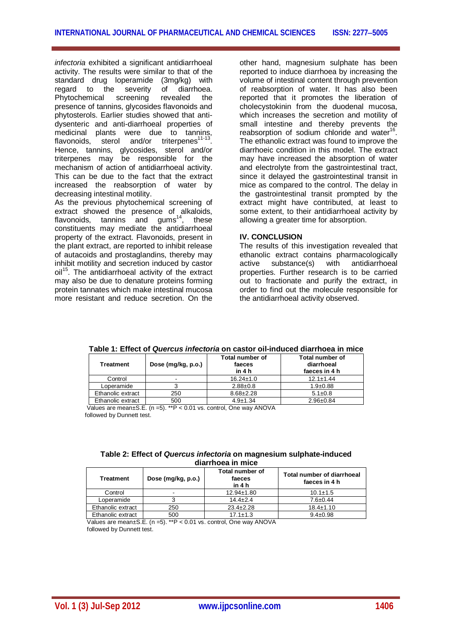*infectoria* exhibited a significant antidiarrhoeal activity. The results were similar to that of the standard drug loperamide (3mg/kg) with regard to the severity of diarrhoea. Phytochemical screening revealed the presence of tannins, glycosides flavonoids and phytosterols. Earlier studies showed that antidysenteric and anti-diarrhoeal properties of medicinal plants were due to tannins, flavonoids, sterol and/or triterpenes<sup>11-13</sup>. Hence, tannins, glycosides, sterol and/or triterpenes may be responsible for the mechanism of action of antidiarrhoeal activity. This can be due to the fact that the extract increased the reabsorption of water by decreasing intestinal motility.

As the previous phytochemical screening of extract showed the presence of alkaloids, flavonoids, tannins and  $\text{qums}^{14}$ , these constituents may mediate the antidiarrhoeal property of the extract. Flavonoids, present in the plant extract, are reported to inhibit release of autacoids and prostaglandins, thereby may inhibit motility and secretion induced by castor  $\text{oil}^{15}$ . The antidiarrhoeal activity of the extract may also be due to denature proteins forming protein tannates which make intestinal mucosa more resistant and reduce secretion. On the

other hand, magnesium sulphate has been reported to induce diarrhoea by increasing the volume of intestinal content through prevention of reabsorption of water. It has also been reported that it promotes the liberation of cholecystokinin from the duodenal mucosa, which increases the secretion and motility of small intestine and thereby prevents the reabsorption of sodium chloride and water<sup>16</sup>. The ethanolic extract was found to improve the diarrhoeic condition in this model. The extract may have increased the absorption of water and electrolyte from the gastrointestinal tract, since it delayed the gastrointestinal transit in mice as compared to the control. The delay in the gastrointestinal transit prompted by the extract might have contributed, at least to some extent, to their antidiarrhoeal activity by allowing a greater time for absorption.

## **IV. CONCLUSION**

The results of this investigation revealed that ethanolic extract contains pharmacologically active substance(s) with antidiarrhoeal properties. Further research is to be carried out to fractionate and purify the extract, in order to find out the molecule responsible for the antidiarrhoeal activity observed.

| Treatment         | Dose (mg/kg, p.o.) | <b>Total number of</b><br>faeces<br>in 4 h | <b>Total number of</b><br>diarrhoeal<br>faeces in 4 h |
|-------------------|--------------------|--------------------------------------------|-------------------------------------------------------|
| Control           |                    | $16.24 \pm 1.0$                            | $12.1 \pm 1.44$                                       |
| Loperamide        |                    | $2.88 \pm 0.8$                             | $1.9 \pm 0.88$                                        |
| Ethanolic extract | 250                | $8.68 \pm 2.28$                            | $5.1 \pm 0.8$                                         |
| Ethanolic extract | 500                | $4.9 \pm 1.34$                             | $2.96 \pm 0.84$                                       |

**Table 1: Effect of** *Quercus infectoria* **on castor oil-induced diarrhoea in mice**

 Values are mean±S.E. (n =5). \*\*P < 0.01 vs. control, One way ANOVA followed by Dunnett test.

| Table 2: Effect of Quercus infectoria on magnesium sulphate-induced |  |  |  |
|---------------------------------------------------------------------|--|--|--|
| diarrhoea in mice                                                   |  |  |  |

| Treatment         | Dose (mg/kg, p.o.) | Total number of<br>faeces<br>in 4 h | Total number of diarrhoeal<br>faeces in 4 h |
|-------------------|--------------------|-------------------------------------|---------------------------------------------|
| Control           | -                  | $12.94 \pm 1.80$                    | $10.1 \pm 1.5$                              |
| Loperamide        |                    | $14.4 + 2.4$                        | $7.6 \pm 0.44$                              |
| Ethanolic extract | 250                | $23.4 \pm 2.28$                     | $18.4 \pm 1.10$                             |
| Ethanolic extract | 500                | $17.1 \pm 1.3$                      | $9.4 \pm 0.98$                              |

 Values are mean±S.E. (n =5). \*\*P < 0.01 vs. control, One way ANOVA followed by Dunnett test.